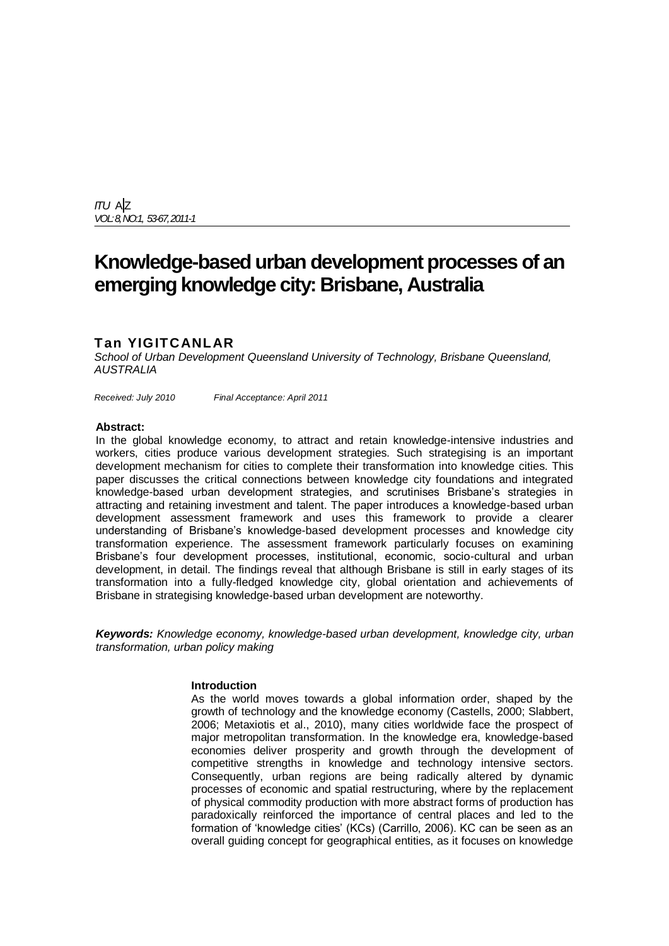*ITU* A|Z *VOL: 8,NO:1, 53-67,2011-1*

# **Knowledge-based urban development processes of an emerging knowledge city: Brisbane, Australia**

# **Tan YIGITCANLAR**

*School of Urban Development Queensland University of Technology, Brisbane Queensland, AUSTRALIA*

*Received: July 2010 Final Acceptance: April 2011*

#### **Abstract:**

In the global knowledge economy, to attract and retain knowledge-intensive industries and workers, cities produce various development strategies. Such strategising is an important development mechanism for cities to complete their transformation into knowledge cities. This paper discusses the critical connections between knowledge city foundations and integrated knowledge-based urban development strategies, and scrutinises Brisbane"s strategies in attracting and retaining investment and talent. The paper introduces a knowledge-based urban development assessment framework and uses this framework to provide a clearer understanding of Brisbane"s knowledge-based development processes and knowledge city transformation experience. The assessment framework particularly focuses on examining Brisbane's four development processes, institutional, economic, socio-cultural and urban development, in detail. The findings reveal that although Brisbane is still in early stages of its transformation into a fully-fledged knowledge city, global orientation and achievements of Brisbane in strategising knowledge-based urban development are noteworthy.

*Keywords: Knowledge economy, knowledge-based urban development, knowledge city, urban transformation, urban policy making*

## **Introduction**

As the world moves towards a global information order, shaped by the growth of technology and the knowledge economy (Castells, 2000; Slabbert, 2006; Metaxiotis et al., 2010), many cities worldwide face the prospect of major metropolitan transformation. In the knowledge era, knowledge-based economies deliver prosperity and growth through the development of competitive strengths in knowledge and technology intensive sectors. Consequently, urban regions are being radically altered by dynamic processes of economic and spatial restructuring, where by the replacement of physical commodity production with more abstract forms of production has paradoxically reinforced the importance of central places and led to the formation of "knowledge cities" (KCs) (Carrillo, 2006). KC can be seen as an overall guiding concept for geographical entities, as it focuses on knowledge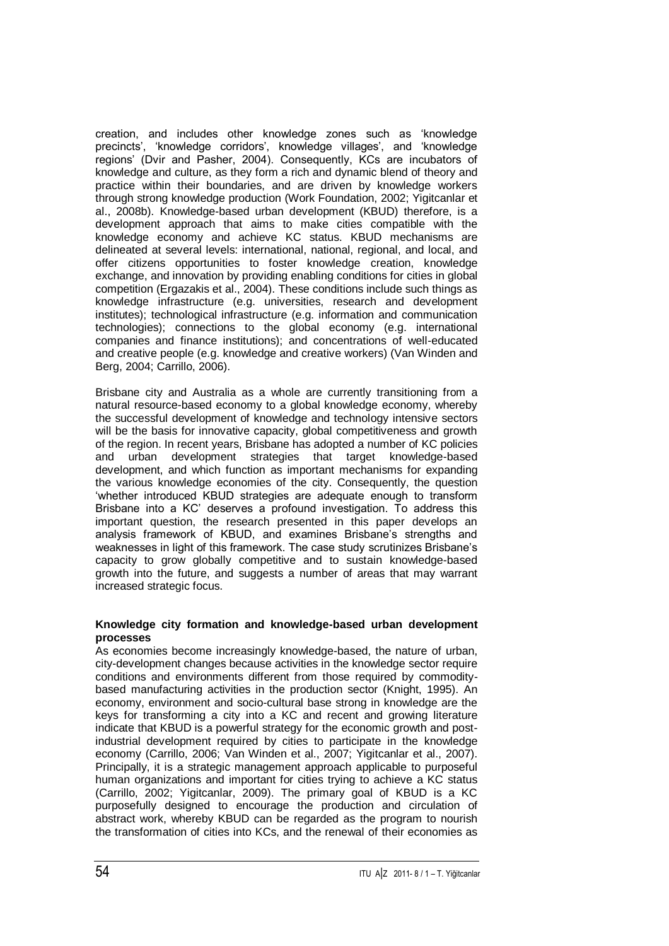creation, and includes other knowledge zones such as "knowledge precincts', 'knowledge corridors', knowledge villages', and 'knowledge regions" (Dvir and Pasher, 2004). Consequently, KCs are incubators of knowledge and culture, as they form a rich and dynamic blend of theory and practice within their boundaries, and are driven by knowledge workers through strong knowledge production (Work Foundation, 2002; Yigitcanlar et al., 2008b). Knowledge-based urban development (KBUD) therefore, is a development approach that aims to make cities compatible with the knowledge economy and achieve KC status. KBUD mechanisms are delineated at several levels: international, national, regional, and local, and offer citizens opportunities to foster knowledge creation, knowledge exchange, and innovation by providing enabling conditions for cities in global competition (Ergazakis et al., 2004). These conditions include such things as knowledge infrastructure (e.g. universities, research and development institutes); technological infrastructure (e.g. information and communication technologies); connections to the global economy (e.g. international companies and finance institutions); and concentrations of well-educated and creative people (e.g. knowledge and creative workers) (Van Winden and Berg, 2004; Carrillo, 2006).

Brisbane city and Australia as a whole are currently transitioning from a natural resource-based economy to a global knowledge economy, whereby the successful development of knowledge and technology intensive sectors will be the basis for innovative capacity, global competitiveness and growth of the region. In recent years, Brisbane has adopted a number of KC policies and urban development strategies that target knowledge-based development, and which function as important mechanisms for expanding the various knowledge economies of the city. Consequently, the question "whether introduced KBUD strategies are adequate enough to transform Brisbane into a KC" deserves a profound investigation. To address this important question, the research presented in this paper develops an analysis framework of KBUD, and examines Brisbane"s strengths and weaknesses in light of this framework. The case study scrutinizes Brisbane"s capacity to grow globally competitive and to sustain knowledge-based growth into the future, and suggests a number of areas that may warrant increased strategic focus.

## **Knowledge city formation and knowledge-based urban development processes**

As economies become increasingly knowledge-based, the nature of urban, city-development changes because activities in the knowledge sector require conditions and environments different from those required by commoditybased manufacturing activities in the production sector (Knight, 1995). An economy, environment and socio-cultural base strong in knowledge are the keys for transforming a city into a KC and recent and growing literature indicate that KBUD is a powerful strategy for the economic growth and postindustrial development required by cities to participate in the knowledge economy (Carrillo, 2006; Van Winden et al., 2007; Yigitcanlar et al., 2007). Principally, it is a strategic management approach applicable to purposeful human organizations and important for cities trying to achieve a KC status (Carrillo, 2002; Yigitcanlar, 2009). The primary goal of KBUD is a KC purposefully designed to encourage the production and circulation of abstract work, whereby KBUD can be regarded as the program to nourish the transformation of cities into KCs, and the renewal of their economies as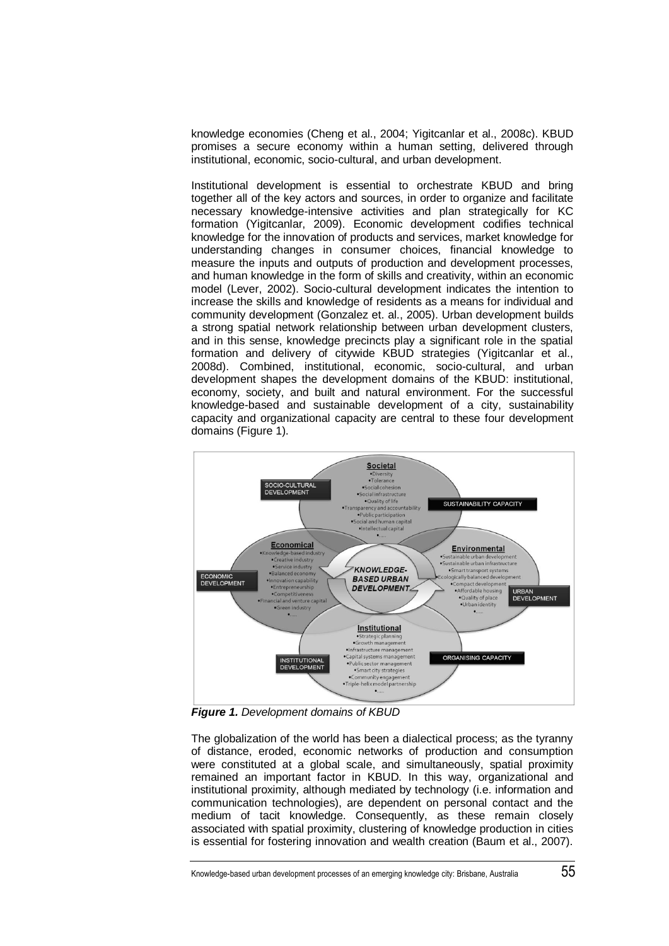knowledge economies (Cheng et al., 2004; Yigitcanlar et al., 2008c). KBUD promises a secure economy within a human setting, delivered through institutional, economic, socio-cultural, and urban development.

Institutional development is essential to orchestrate KBUD and bring together all of the key actors and sources, in order to organize and facilitate necessary knowledge-intensive activities and plan strategically for KC formation (Yigitcanlar, 2009). Economic development codifies technical knowledge for the innovation of products and services, market knowledge for understanding changes in consumer choices, financial knowledge to measure the inputs and outputs of production and development processes, and human knowledge in the form of skills and creativity, within an economic model (Lever, 2002). Socio-cultural development indicates the intention to increase the skills and knowledge of residents as a means for individual and community development (Gonzalez et. al., 2005). Urban development builds a strong spatial network relationship between urban development clusters, and in this sense, knowledge precincts play a significant role in the spatial formation and delivery of citywide KBUD strategies (Yigitcanlar et al., 2008d). Combined, institutional, economic, socio-cultural, and urban development shapes the development domains of the KBUD: institutional, economy, society, and built and natural environment. For the successful knowledge-based and sustainable development of a city, sustainability capacity and organizational capacity are central to these four development domains (Figure 1).



*Figure 1. Development domains of KBUD*

The globalization of the world has been a dialectical process; as the tyranny of distance, eroded, economic networks of production and consumption were constituted at a global scale, and simultaneously, spatial proximity remained an important factor in KBUD. In this way, organizational and institutional proximity, although mediated by technology (i.e. information and communication technologies), are dependent on personal contact and the medium of tacit knowledge. Consequently, as these remain closely associated with spatial proximity, clustering of knowledge production in cities is essential for fostering innovation and wealth creation (Baum et al., 2007).

Knowledge-based urban development processes of an emerging knowledge city: Brisbane, Australia 55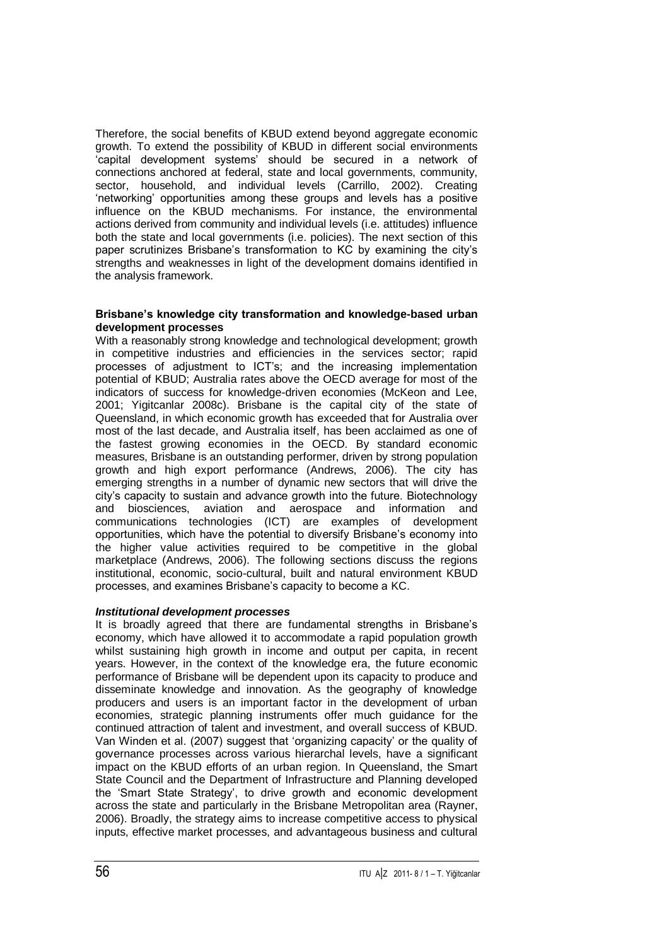Therefore, the social benefits of KBUD extend beyond aggregate economic growth. To extend the possibility of KBUD in different social environments "capital development systems" should be secured in a network of connections anchored at federal, state and local governments, community, sector, household, and individual levels (Carrillo, 2002). Creating "networking" opportunities among these groups and levels has a positive influence on the KBUD mechanisms. For instance, the environmental actions derived from community and individual levels (i.e. attitudes) influence both the state and local governments (i.e. policies). The next section of this paper scrutinizes Brisbane's transformation to KC by examining the city's strengths and weaknesses in light of the development domains identified in the analysis framework.

## **Brisbane's knowledge city transformation and knowledge-based urban development processes**

With a reasonably strong knowledge and technological development; growth in competitive industries and efficiencies in the services sector; rapid processes of adjustment to ICT"s; and the increasing implementation potential of KBUD; Australia rates above the OECD average for most of the indicators of success for knowledge-driven economies (McKeon and Lee, 2001; Yigitcanlar 2008c). Brisbane is the capital city of the state of Queensland, in which economic growth has exceeded that for Australia over most of the last decade, and Australia itself, has been acclaimed as one of the fastest growing economies in the OECD. By standard economic measures, Brisbane is an outstanding performer, driven by strong population growth and high export performance (Andrews, 2006). The city has emerging strengths in a number of dynamic new sectors that will drive the city"s capacity to sustain and advance growth into the future. Biotechnology and biosciences, aviation and aerospace and information and communications technologies (ICT) are examples of development opportunities, which have the potential to diversify Brisbane"s economy into the higher value activities required to be competitive in the global marketplace (Andrews, 2006). The following sections discuss the regions institutional, economic, socio-cultural, built and natural environment KBUD processes, and examines Brisbane"s capacity to become a KC.

## *Institutional development processes*

It is broadly agreed that there are fundamental strengths in Brisbane"s economy, which have allowed it to accommodate a rapid population growth whilst sustaining high growth in income and output per capita, in recent years. However, in the context of the knowledge era, the future economic performance of Brisbane will be dependent upon its capacity to produce and disseminate knowledge and innovation. As the geography of knowledge producers and users is an important factor in the development of urban economies, strategic planning instruments offer much guidance for the continued attraction of talent and investment, and overall success of KBUD. Van Winden et al. (2007) suggest that "organizing capacity" or the quality of governance processes across various hierarchal levels, have a significant impact on the KBUD efforts of an urban region. In Queensland, the Smart State Council and the Department of Infrastructure and Planning developed the "Smart State Strategy", to drive growth and economic development across the state and particularly in the Brisbane Metropolitan area (Rayner, 2006). Broadly, the strategy aims to increase competitive access to physical inputs, effective market processes, and advantageous business and cultural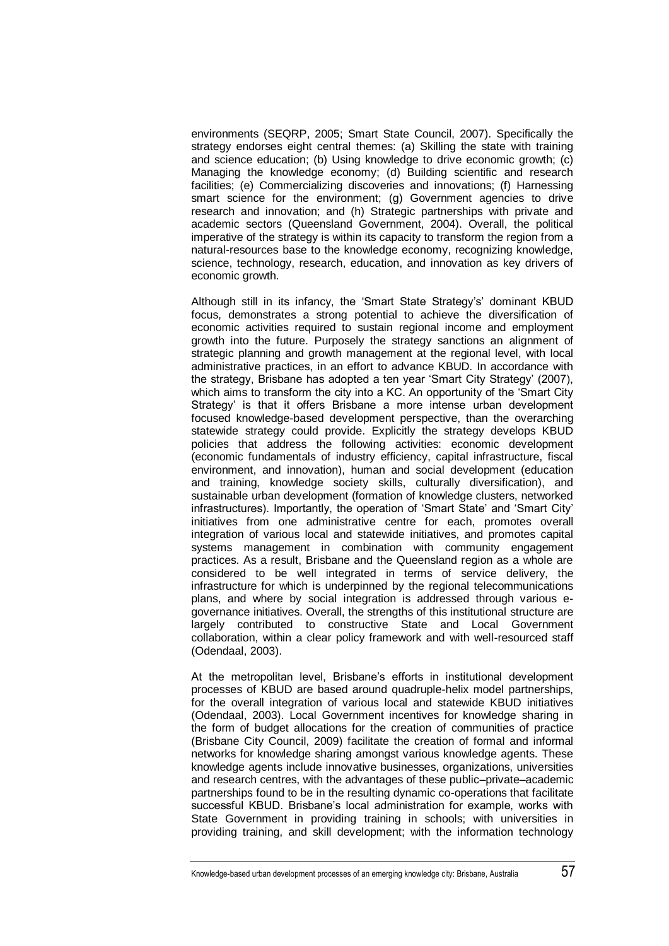environments (SEQRP, 2005; Smart State Council, 2007). Specifically the strategy endorses eight central themes: (a) Skilling the state with training and science education; (b) Using knowledge to drive economic growth; (c) Managing the knowledge economy; (d) Building scientific and research facilities; (e) Commercializing discoveries and innovations; (f) Harnessing smart science for the environment; (g) Government agencies to drive research and innovation; and (h) Strategic partnerships with private and academic sectors (Queensland Government, 2004). Overall, the political imperative of the strategy is within its capacity to transform the region from a natural-resources base to the knowledge economy, recognizing knowledge, science, technology, research, education, and innovation as key drivers of economic growth.

Although still in its infancy, the "Smart State Strategy"s" dominant KBUD focus, demonstrates a strong potential to achieve the diversification of economic activities required to sustain regional income and employment growth into the future. Purposely the strategy sanctions an alignment of strategic planning and growth management at the regional level, with local administrative practices, in an effort to advance KBUD. In accordance with the strategy, Brisbane has adopted a ten year "Smart City Strategy" (2007), which aims to transform the city into a KC. An opportunity of the "Smart City Strategy' is that it offers Brisbane a more intense urban development focused knowledge-based development perspective, than the overarching statewide strategy could provide. Explicitly the strategy develops KBUD policies that address the following activities: economic development (economic fundamentals of industry efficiency, capital infrastructure, fiscal environment, and innovation), human and social development (education and training, knowledge society skills, culturally diversification), and sustainable urban development (formation of knowledge clusters, networked infrastructures). Importantly, the operation of "Smart State" and "Smart City" initiatives from one administrative centre for each, promotes overall integration of various local and statewide initiatives, and promotes capital systems management in combination with community engagement practices. As a result, Brisbane and the Queensland region as a whole are considered to be well integrated in terms of service delivery, the infrastructure for which is underpinned by the regional telecommunications plans, and where by social integration is addressed through various egovernance initiatives. Overall, the strengths of this institutional structure are largely contributed to constructive State and Local Government collaboration, within a clear policy framework and with well-resourced staff (Odendaal, 2003).

At the metropolitan level, Brisbane's efforts in institutional development processes of KBUD are based around quadruple-helix model partnerships, for the overall integration of various local and statewide KBUD initiatives (Odendaal, 2003). Local Government incentives for knowledge sharing in the form of budget allocations for the creation of communities of practice (Brisbane City Council, 2009) facilitate the creation of formal and informal networks for knowledge sharing amongst various knowledge agents. These knowledge agents include innovative businesses, organizations, universities and research centres, with the advantages of these public–private–academic partnerships found to be in the resulting dynamic co-operations that facilitate successful KBUD. Brisbane's local administration for example, works with State Government in providing training in schools; with universities in providing training, and skill development; with the information technology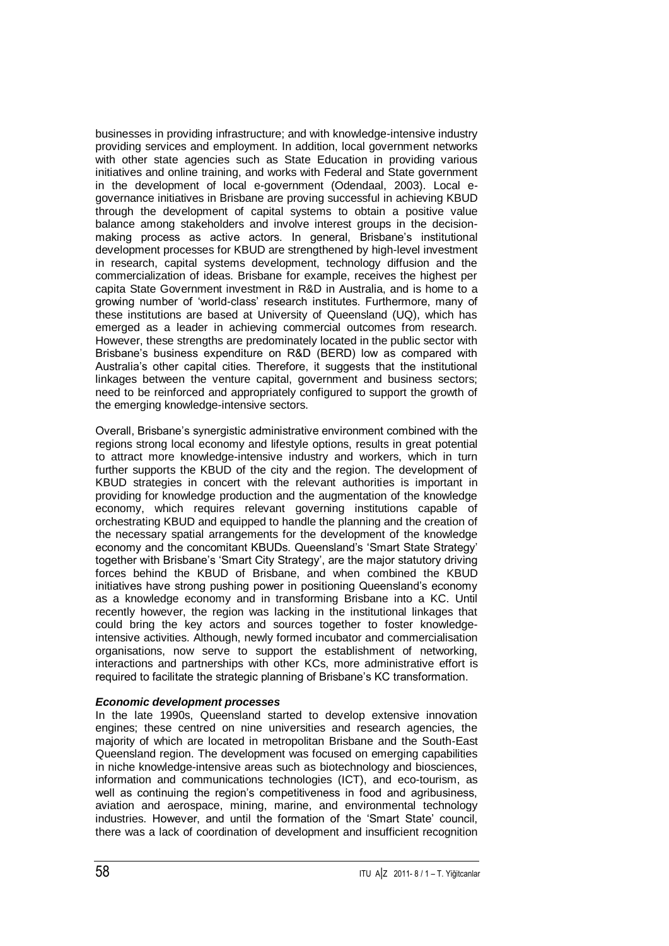businesses in providing infrastructure; and with knowledge-intensive industry providing services and employment. In addition, local government networks with other state agencies such as State Education in providing various initiatives and online training, and works with Federal and State government in the development of local e-government (Odendaal, 2003). Local egovernance initiatives in Brisbane are proving successful in achieving KBUD through the development of capital systems to obtain a positive value balance among stakeholders and involve interest groups in the decisionmaking process as active actors. In general, Brisbane"s institutional development processes for KBUD are strengthened by high-level investment in research, capital systems development, technology diffusion and the commercialization of ideas. Brisbane for example, receives the highest per capita State Government investment in R&D in Australia, and is home to a growing number of "world-class" research institutes. Furthermore, many of these institutions are based at University of Queensland (UQ), which has emerged as a leader in achieving commercial outcomes from research. However, these strengths are predominately located in the public sector with Brisbane"s business expenditure on R&D (BERD) low as compared with Australia"s other capital cities. Therefore, it suggests that the institutional linkages between the venture capital, government and business sectors; need to be reinforced and appropriately configured to support the growth of the emerging knowledge-intensive sectors.

Overall, Brisbane"s synergistic administrative environment combined with the regions strong local economy and lifestyle options, results in great potential to attract more knowledge-intensive industry and workers, which in turn further supports the KBUD of the city and the region. The development of KBUD strategies in concert with the relevant authorities is important in providing for knowledge production and the augmentation of the knowledge economy, which requires relevant governing institutions capable of orchestrating KBUD and equipped to handle the planning and the creation of the necessary spatial arrangements for the development of the knowledge economy and the concomitant KBUDs. Queensland"s "Smart State Strategy" together with Brisbane"s "Smart City Strategy", are the major statutory driving forces behind the KBUD of Brisbane, and when combined the KBUD initiatives have strong pushing power in positioning Queensland"s economy as a knowledge economy and in transforming Brisbane into a KC. Until recently however, the region was lacking in the institutional linkages that could bring the key actors and sources together to foster knowledgeintensive activities. Although, newly formed incubator and commercialisation organisations, now serve to support the establishment of networking, interactions and partnerships with other KCs, more administrative effort is required to facilitate the strategic planning of Brisbane"s KC transformation.

## *Economic development processes*

In the late 1990s, Queensland started to develop extensive innovation engines; these centred on nine universities and research agencies, the majority of which are located in metropolitan Brisbane and the South-East Queensland region. The development was focused on emerging capabilities in niche knowledge-intensive areas such as biotechnology and biosciences, information and communications technologies (ICT), and eco-tourism, as well as continuing the region's competitiveness in food and agribusiness, aviation and aerospace, mining, marine, and environmental technology industries. However, and until the formation of the "Smart State" council, there was a lack of coordination of development and insufficient recognition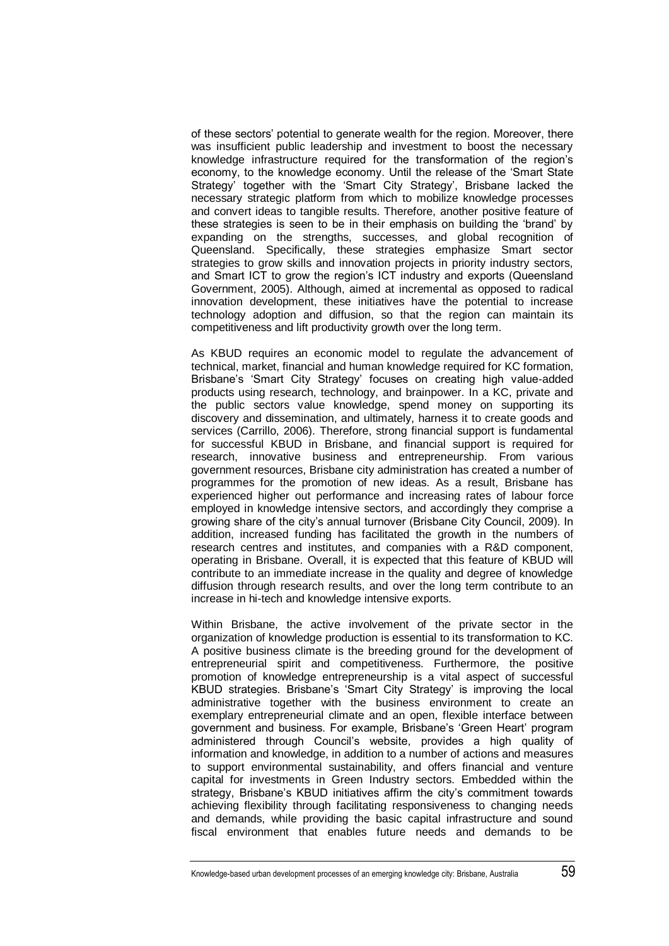of these sectors" potential to generate wealth for the region. Moreover, there was insufficient public leadership and investment to boost the necessary knowledge infrastructure required for the transformation of the region"s economy, to the knowledge economy. Until the release of the "Smart State Strategy' together with the 'Smart City Strategy', Brisbane lacked the necessary strategic platform from which to mobilize knowledge processes and convert ideas to tangible results. Therefore, another positive feature of these strategies is seen to be in their emphasis on building the "brand" by expanding on the strengths, successes, and global recognition of Queensland. Specifically, these strategies emphasize Smart sector strategies to grow skills and innovation projects in priority industry sectors, and Smart ICT to grow the region"s ICT industry and exports (Queensland Government, 2005). Although, aimed at incremental as opposed to radical innovation development, these initiatives have the potential to increase technology adoption and diffusion, so that the region can maintain its competitiveness and lift productivity growth over the long term.

As KBUD requires an economic model to requiate the advancement of technical, market, financial and human knowledge required for KC formation, Brisbane"s "Smart City Strategy" focuses on creating high value-added products using research, technology, and brainpower. In a KC, private and the public sectors value knowledge, spend money on supporting its discovery and dissemination, and ultimately, harness it to create goods and services (Carrillo, 2006). Therefore, strong financial support is fundamental for successful KBUD in Brisbane, and financial support is required for research, innovative business and entrepreneurship. From various government resources, Brisbane city administration has created a number of programmes for the promotion of new ideas. As a result, Brisbane has experienced higher out performance and increasing rates of labour force employed in knowledge intensive sectors, and accordingly they comprise a growing share of the city's annual turnover (Brisbane City Council, 2009). In addition, increased funding has facilitated the growth in the numbers of research centres and institutes, and companies with a R&D component, operating in Brisbane. Overall, it is expected that this feature of KBUD will contribute to an immediate increase in the quality and degree of knowledge diffusion through research results, and over the long term contribute to an increase in hi-tech and knowledge intensive exports.

Within Brisbane, the active involvement of the private sector in the organization of knowledge production is essential to its transformation to KC. A positive business climate is the breeding ground for the development of entrepreneurial spirit and competitiveness. Furthermore, the positive promotion of knowledge entrepreneurship is a vital aspect of successful KBUD strategies. Brisbane"s "Smart City Strategy" is improving the local administrative together with the business environment to create an exemplary entrepreneurial climate and an open, flexible interface between government and business. For example, Brisbane"s "Green Heart" program administered through Council"s website, provides a high quality of information and knowledge, in addition to a number of actions and measures to support environmental sustainability, and offers financial and venture capital for investments in Green Industry sectors. Embedded within the strategy, Brisbane's KBUD initiatives affirm the city's commitment towards achieving flexibility through facilitating responsiveness to changing needs and demands, while providing the basic capital infrastructure and sound fiscal environment that enables future needs and demands to be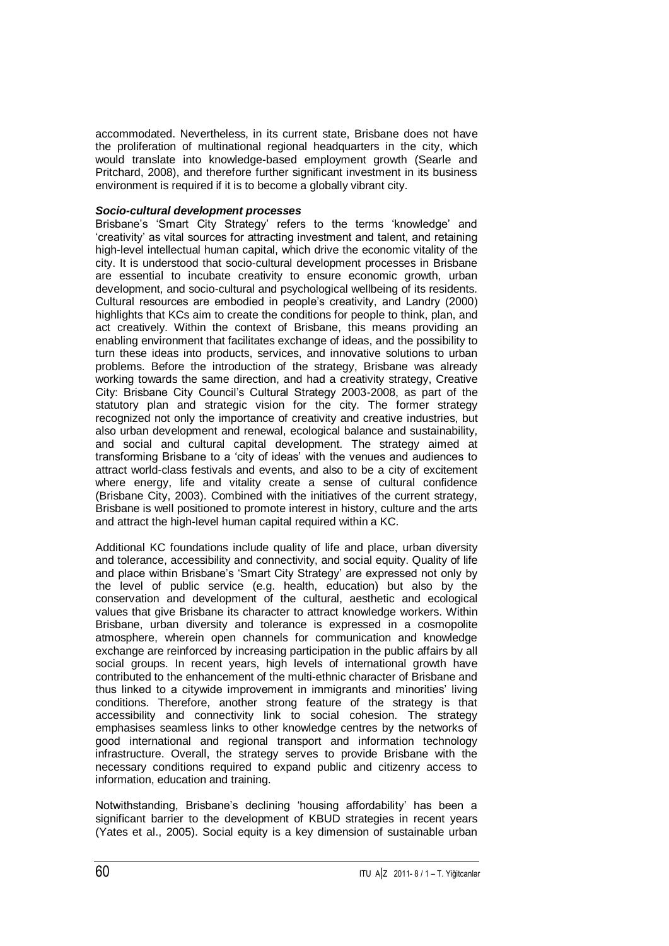accommodated. Nevertheless, in its current state, Brisbane does not have the proliferation of multinational regional headquarters in the city, which would translate into knowledge-based employment growth (Searle and Pritchard, 2008), and therefore further significant investment in its business environment is required if it is to become a globally vibrant city.

## *Socio-cultural development processes*

Brisbane's 'Smart City Strategy' refers to the terms 'knowledge' and "creativity" as vital sources for attracting investment and talent, and retaining high-level intellectual human capital, which drive the economic vitality of the city. It is understood that socio-cultural development processes in Brisbane are essential to incubate creativity to ensure economic growth, urban development, and socio-cultural and psychological wellbeing of its residents. Cultural resources are embodied in people"s creativity, and Landry (2000) highlights that KCs aim to create the conditions for people to think, plan, and act creatively. Within the context of Brisbane, this means providing an enabling environment that facilitates exchange of ideas, and the possibility to turn these ideas into products, services, and innovative solutions to urban problems. Before the introduction of the strategy, Brisbane was already working towards the same direction, and had a creativity strategy, Creative City: Brisbane City Council"s Cultural Strategy 2003-2008, as part of the statutory plan and strategic vision for the city. The former strategy recognized not only the importance of creativity and creative industries, but also urban development and renewal, ecological balance and sustainability, and social and cultural capital development. The strategy aimed at transforming Brisbane to a "city of ideas" with the venues and audiences to attract world-class festivals and events, and also to be a city of excitement where energy, life and vitality create a sense of cultural confidence (Brisbane City, 2003). Combined with the initiatives of the current strategy, Brisbane is well positioned to promote interest in history, culture and the arts and attract the high-level human capital required within a KC.

Additional KC foundations include quality of life and place, urban diversity and tolerance, accessibility and connectivity, and social equity. Quality of life and place within Brisbane"s "Smart City Strategy" are expressed not only by the level of public service (e.g. health, education) but also by the conservation and development of the cultural, aesthetic and ecological values that give Brisbane its character to attract knowledge workers. Within Brisbane, urban diversity and tolerance is expressed in a cosmopolite atmosphere, wherein open channels for communication and knowledge exchange are reinforced by increasing participation in the public affairs by all social groups. In recent years, high levels of international growth have contributed to the enhancement of the multi-ethnic character of Brisbane and thus linked to a citywide improvement in immigrants and minorities" living conditions. Therefore, another strong feature of the strategy is that accessibility and connectivity link to social cohesion. The strategy emphasises seamless links to other knowledge centres by the networks of good international and regional transport and information technology infrastructure. Overall, the strategy serves to provide Brisbane with the necessary conditions required to expand public and citizenry access to information, education and training.

Notwithstanding, Brisbane"s declining "housing affordability" has been a significant barrier to the development of KBUD strategies in recent years (Yates et al., 2005). Social equity is a key dimension of sustainable urban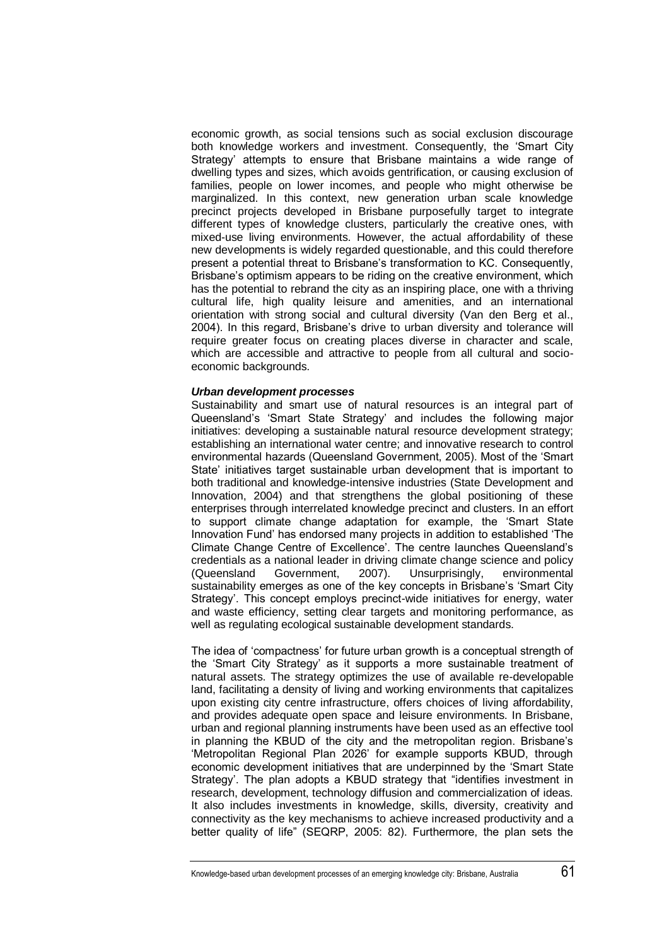economic growth, as social tensions such as social exclusion discourage both knowledge workers and investment. Consequently, the "Smart City Strategy" attempts to ensure that Brisbane maintains a wide range of dwelling types and sizes, which avoids gentrification, or causing exclusion of families, people on lower incomes, and people who might otherwise be marginalized. In this context, new generation urban scale knowledge precinct projects developed in Brisbane purposefully target to integrate different types of knowledge clusters, particularly the creative ones, with mixed-use living environments. However, the actual affordability of these new developments is widely regarded questionable, and this could therefore present a potential threat to Brisbane"s transformation to KC. Consequently, Brisbane"s optimism appears to be riding on the creative environment, which has the potential to rebrand the city as an inspiring place, one with a thriving cultural life, high quality leisure and amenities, and an international orientation with strong social and cultural diversity (Van den Berg et al., 2004). In this regard, Brisbane"s drive to urban diversity and tolerance will require greater focus on creating places diverse in character and scale, which are accessible and attractive to people from all cultural and socioeconomic backgrounds.

#### *Urban development processes*

Sustainability and smart use of natural resources is an integral part of Queensland"s "Smart State Strategy" and includes the following major initiatives: developing a sustainable natural resource development strategy; establishing an international water centre; and innovative research to control environmental hazards (Queensland Government, 2005). Most of the "Smart State" initiatives target sustainable urban development that is important to both traditional and knowledge-intensive industries (State Development and Innovation, 2004) and that strengthens the global positioning of these enterprises through interrelated knowledge precinct and clusters. In an effort to support climate change adaptation for example, the "Smart State Innovation Fund" has endorsed many projects in addition to established "The Climate Change Centre of Excellence". The centre launches Queensland"s credentials as a national leader in driving climate change science and policy (Queensland Government, 2007). Unsurprisingly, environmental sustainability emerges as one of the key concepts in Brisbane's 'Smart City Strategy'. This concept employs precinct-wide initiatives for energy, water and waste efficiency, setting clear targets and monitoring performance, as well as regulating ecological sustainable development standards.

The idea of 'compactness' for future urban growth is a conceptual strength of the "Smart City Strategy" as it supports a more sustainable treatment of natural assets. The strategy optimizes the use of available re-developable land, facilitating a density of living and working environments that capitalizes upon existing city centre infrastructure, offers choices of living affordability, and provides adequate open space and leisure environments. In Brisbane, urban and regional planning instruments have been used as an effective tool in planning the KBUD of the city and the metropolitan region. Brisbane"s "Metropolitan Regional Plan 2026" for example supports KBUD, through economic development initiatives that are underpinned by the "Smart State Strategy". The plan adopts a KBUD strategy that "identifies investment in research, development, technology diffusion and commercialization of ideas. It also includes investments in knowledge, skills, diversity, creativity and connectivity as the key mechanisms to achieve increased productivity and a better quality of life" (SEQRP, 2005: 82). Furthermore, the plan sets the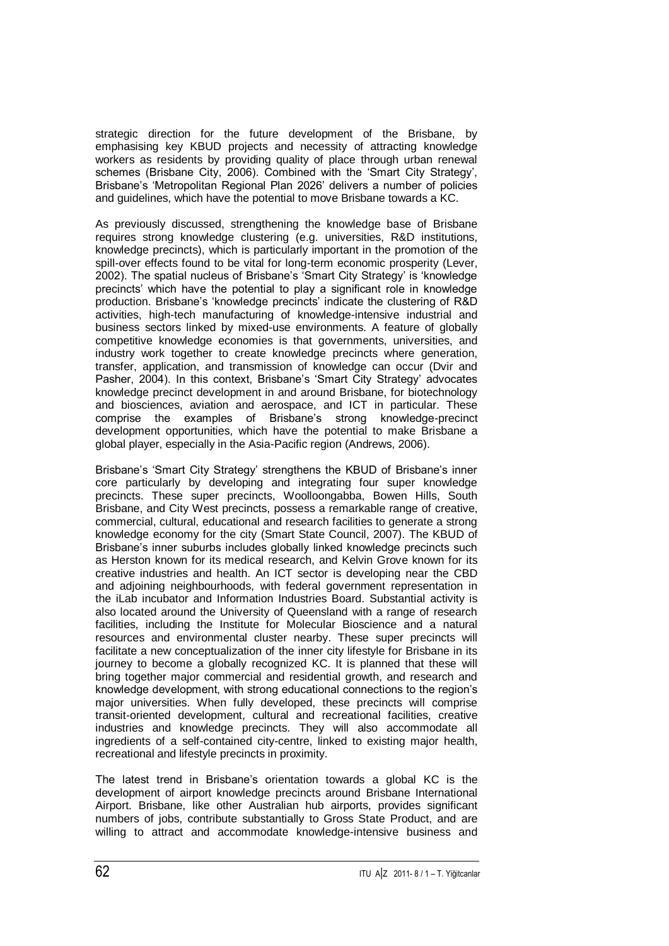strategic direction for the future development of the Brisbane, by emphasising key KBUD projects and necessity of attracting knowledge workers as residents by providing quality of place through urban renewal schemes (Brisbane City, 2006). Combined with the "Smart City Strategy", Brisbane's 'Metropolitan Regional Plan 2026' delivers a number of policies and guidelines, which have the potential to move Brisbane towards a KC.

As previously discussed, strengthening the knowledge base of Brisbane requires strong knowledge clustering (e.g. universities, R&D institutions, knowledge precincts), which is particularly important in the promotion of the spill-over effects found to be vital for long-term economic prosperity (Lever, 2002). The spatial nucleus of Brisbane"s "Smart City Strategy" is "knowledge precincts" which have the potential to play a significant role in knowledge production. Brisbane's 'knowledge precincts' indicate the clustering of R&D activities, high-tech manufacturing of knowledge-intensive industrial and business sectors linked by mixed-use environments. A feature of globally competitive knowledge economies is that governments, universities, and industry work together to create knowledge precincts where generation, transfer, application, and transmission of knowledge can occur (Dvir and Pasher, 2004). In this context, Brisbane's 'Smart City Strategy' advocates knowledge precinct development in and around Brisbane, for biotechnology and biosciences, aviation and aerospace, and ICT in particular. These comprise the examples of Brisbane"s strong knowledge-precinct development opportunities, which have the potential to make Brisbane a global player, especially in the Asia-Pacific region (Andrews, 2006).

Brisbane"s "Smart City Strategy" strengthens the KBUD of Brisbane"s inner core particularly by developing and integrating four super knowledge precincts. These super precincts, Woolloongabba, Bowen Hills, South Brisbane, and City West precincts, possess a remarkable range of creative, commercial, cultural, educational and research facilities to generate a strong knowledge economy for the city (Smart State Council, 2007). The KBUD of Brisbane's inner suburbs includes globally linked knowledge precincts such as Herston known for its medical research, and Kelvin Grove known for its creative industries and health. An ICT sector is developing near the CBD and adjoining neighbourhoods, with federal government representation in the iLab incubator and Information Industries Board. Substantial activity is also located around the University of Queensland with a range of research facilities, including the Institute for Molecular Bioscience and a natural resources and environmental cluster nearby. These super precincts will facilitate a new conceptualization of the inner city lifestyle for Brisbane in its journey to become a globally recognized KC. It is planned that these will bring together major commercial and residential growth, and research and knowledge development, with strong educational connections to the region"s major universities. When fully developed, these precincts will comprise transit-oriented development, cultural and recreational facilities, creative industries and knowledge precincts. They will also accommodate all ingredients of a self-contained city-centre, linked to existing major health, recreational and lifestyle precincts in proximity.

The latest trend in Brisbane's orientation towards a global KC is the development of airport knowledge precincts around Brisbane International Airport. Brisbane, like other Australian hub airports, provides significant numbers of jobs, contribute substantially to Gross State Product, and are willing to attract and accommodate knowledge-intensive business and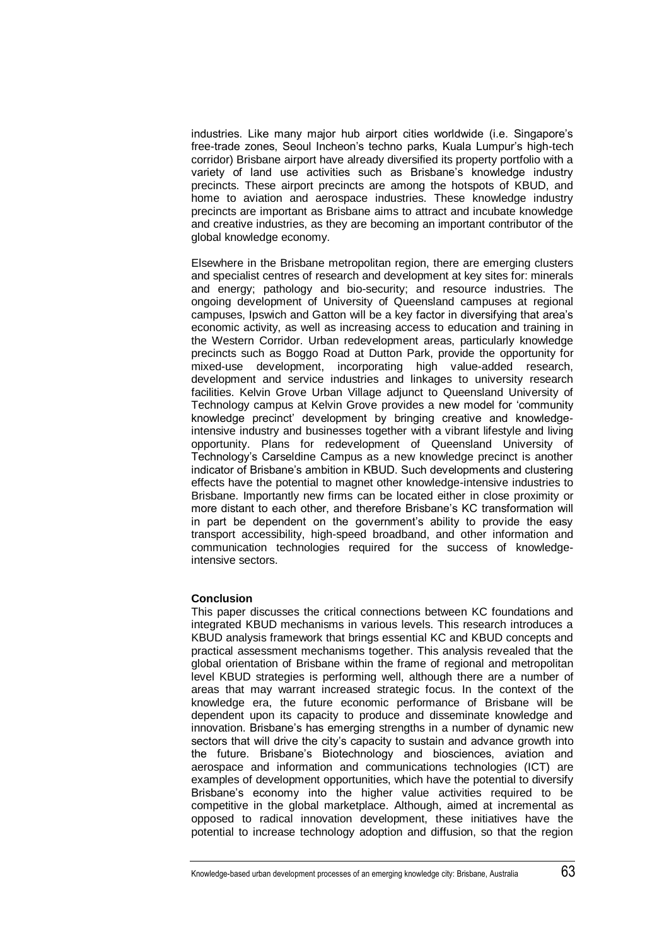industries. Like many major hub airport cities worldwide (i.e. Singapore"s free-trade zones, Seoul Incheon"s techno parks, Kuala Lumpur"s high-tech corridor) Brisbane airport have already diversified its property portfolio with a variety of land use activities such as Brisbane"s knowledge industry precincts. These airport precincts are among the hotspots of KBUD, and home to aviation and aerospace industries. These knowledge industry precincts are important as Brisbane aims to attract and incubate knowledge and creative industries, as they are becoming an important contributor of the global knowledge economy.

Elsewhere in the Brisbane metropolitan region, there are emerging clusters and specialist centres of research and development at key sites for: minerals and energy; pathology and bio-security; and resource industries. The ongoing development of University of Queensland campuses at regional campuses, Ipswich and Gatton will be a key factor in diversifying that area"s economic activity, as well as increasing access to education and training in the Western Corridor. Urban redevelopment areas, particularly knowledge precincts such as Boggo Road at Dutton Park, provide the opportunity for mixed-use development, incorporating high value-added research, development and service industries and linkages to university research facilities. Kelvin Grove Urban Village adjunct to Queensland University of Technology campus at Kelvin Grove provides a new model for "community knowledge precinct" development by bringing creative and knowledgeintensive industry and businesses together with a vibrant lifestyle and living opportunity. Plans for redevelopment of Queensland University of Technology"s Carseldine Campus as a new knowledge precinct is another indicator of Brisbane"s ambition in KBUD. Such developments and clustering effects have the potential to magnet other knowledge-intensive industries to Brisbane. Importantly new firms can be located either in close proximity or more distant to each other, and therefore Brisbane"s KC transformation will in part be dependent on the government's ability to provide the easy transport accessibility, high-speed broadband, and other information and communication technologies required for the success of knowledgeintensive sectors.

## **Conclusion**

This paper discusses the critical connections between KC foundations and integrated KBUD mechanisms in various levels. This research introduces a KBUD analysis framework that brings essential KC and KBUD concepts and practical assessment mechanisms together. This analysis revealed that the global orientation of Brisbane within the frame of regional and metropolitan level KBUD strategies is performing well, although there are a number of areas that may warrant increased strategic focus. In the context of the knowledge era, the future economic performance of Brisbane will be dependent upon its capacity to produce and disseminate knowledge and innovation. Brisbane"s has emerging strengths in a number of dynamic new sectors that will drive the city's capacity to sustain and advance growth into the future. Brisbane"s Biotechnology and biosciences, aviation and aerospace and information and communications technologies (ICT) are examples of development opportunities, which have the potential to diversify Brisbane"s economy into the higher value activities required to be competitive in the global marketplace. Although, aimed at incremental as opposed to radical innovation development, these initiatives have the potential to increase technology adoption and diffusion, so that the region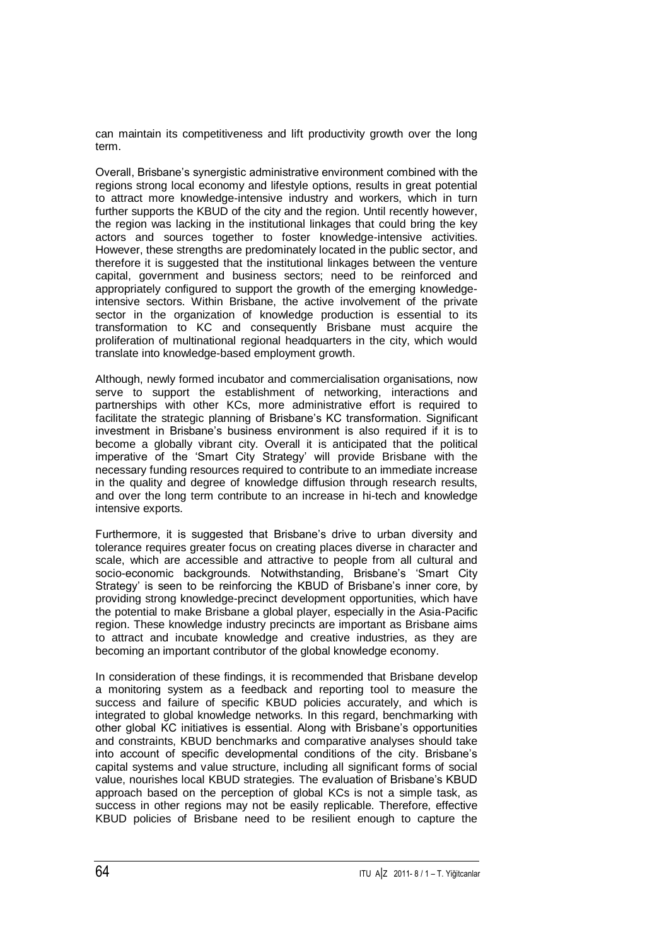can maintain its competitiveness and lift productivity growth over the long term.

Overall, Brisbane"s synergistic administrative environment combined with the regions strong local economy and lifestyle options, results in great potential to attract more knowledge-intensive industry and workers, which in turn further supports the KBUD of the city and the region. Until recently however, the region was lacking in the institutional linkages that could bring the key actors and sources together to foster knowledge-intensive activities. However, these strengths are predominately located in the public sector, and therefore it is suggested that the institutional linkages between the venture capital, government and business sectors; need to be reinforced and appropriately configured to support the growth of the emerging knowledgeintensive sectors. Within Brisbane, the active involvement of the private sector in the organization of knowledge production is essential to its transformation to KC and consequently Brisbane must acquire the proliferation of multinational regional headquarters in the city, which would translate into knowledge-based employment growth.

Although, newly formed incubator and commercialisation organisations, now serve to support the establishment of networking, interactions and partnerships with other KCs, more administrative effort is required to facilitate the strategic planning of Brisbane"s KC transformation. Significant investment in Brisbane"s business environment is also required if it is to become a globally vibrant city. Overall it is anticipated that the political imperative of the "Smart City Strategy" will provide Brisbane with the necessary funding resources required to contribute to an immediate increase in the quality and degree of knowledge diffusion through research results, and over the long term contribute to an increase in hi-tech and knowledge intensive exports.

Furthermore, it is suggested that Brisbane's drive to urban diversity and tolerance requires greater focus on creating places diverse in character and scale, which are accessible and attractive to people from all cultural and socio-economic backgrounds. Notwithstanding, Brisbane's 'Smart City Strategy' is seen to be reinforcing the KBUD of Brisbane's inner core, by providing strong knowledge-precinct development opportunities, which have the potential to make Brisbane a global player, especially in the Asia-Pacific region. These knowledge industry precincts are important as Brisbane aims to attract and incubate knowledge and creative industries, as they are becoming an important contributor of the global knowledge economy.

In consideration of these findings, it is recommended that Brisbane develop a monitoring system as a feedback and reporting tool to measure the success and failure of specific KBUD policies accurately, and which is integrated to global knowledge networks. In this regard, benchmarking with other global KC initiatives is essential. Along with Brisbane"s opportunities and constraints, KBUD benchmarks and comparative analyses should take into account of specific developmental conditions of the city. Brisbane"s capital systems and value structure, including all significant forms of social value, nourishes local KBUD strategies. The evaluation of Brisbane"s KBUD approach based on the perception of global KCs is not a simple task, as success in other regions may not be easily replicable. Therefore, effective KBUD policies of Brisbane need to be resilient enough to capture the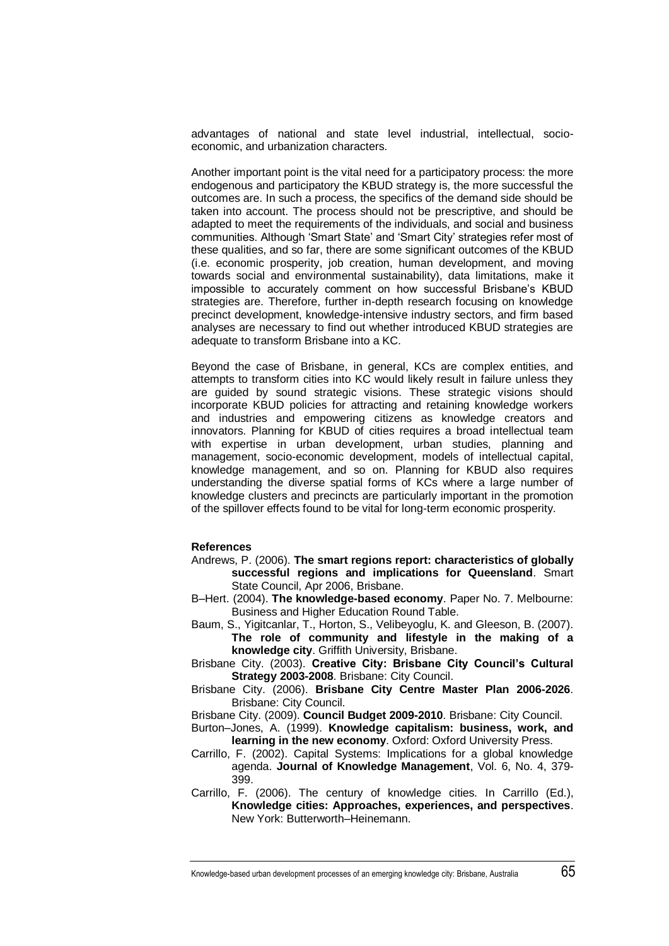advantages of national and state level industrial, intellectual, socioeconomic, and urbanization characters.

Another important point is the vital need for a participatory process: the more endogenous and participatory the KBUD strategy is, the more successful the outcomes are. In such a process, the specifics of the demand side should be taken into account. The process should not be prescriptive, and should be adapted to meet the requirements of the individuals, and social and business communities. Although "Smart State" and "Smart City" strategies refer most of these qualities, and so far, there are some significant outcomes of the KBUD (i.e. economic prosperity, job creation, human development, and moving towards social and environmental sustainability), data limitations, make it impossible to accurately comment on how successful Brisbane"s KBUD strategies are. Therefore, further in-depth research focusing on knowledge precinct development, knowledge-intensive industry sectors, and firm based analyses are necessary to find out whether introduced KBUD strategies are adequate to transform Brisbane into a KC.

Beyond the case of Brisbane, in general, KCs are complex entities, and attempts to transform cities into KC would likely result in failure unless they are guided by sound strategic visions. These strategic visions should incorporate KBUD policies for attracting and retaining knowledge workers and industries and empowering citizens as knowledge creators and innovators. Planning for KBUD of cities requires a broad intellectual team with expertise in urban development, urban studies, planning and management, socio-economic development, models of intellectual capital, knowledge management, and so on. Planning for KBUD also requires understanding the diverse spatial forms of KCs where a large number of knowledge clusters and precincts are particularly important in the promotion of the spillover effects found to be vital for long-term economic prosperity.

## **References**

- Andrews, P. (2006). **The smart regions report: characteristics of globally successful regions and implications for Queensland**. Smart State Council, Apr 2006, Brisbane.
- B–Hert. (2004). **The knowledge-based economy**. Paper No. 7. Melbourne: Business and Higher Education Round Table.
- Baum, S., Yigitcanlar, T., Horton, S., Velibeyoglu, K. and Gleeson, B. (2007). **The role of community and lifestyle in the making of a knowledge city**. Griffith University, Brisbane.
- Brisbane City. (2003). **Creative City: Brisbane City Council's Cultural Strategy 2003-2008**. Brisbane: City Council.
- Brisbane City. (2006). **Brisbane City Centre Master Plan 2006-2026**. Brisbane: City Council.
- Brisbane City. (2009). **Council Budget 2009-2010**. Brisbane: City Council.
- Burton–Jones, A. (1999). **Knowledge capitalism: business, work, and learning in the new economy**. Oxford: Oxford University Press.
- Carrillo, F. (2002). Capital Systems: Implications for a global knowledge agenda. **Journal of Knowledge Management**, Vol. 6, No. 4, 379- 399.
- Carrillo, F. (2006). The century of knowledge cities. In Carrillo (Ed.), **Knowledge cities: Approaches, experiences, and perspectives**. New York: Butterworth–Heinemann.

Knowledge-based urban development processes of an emerging knowledge city: Brisbane, Australia 65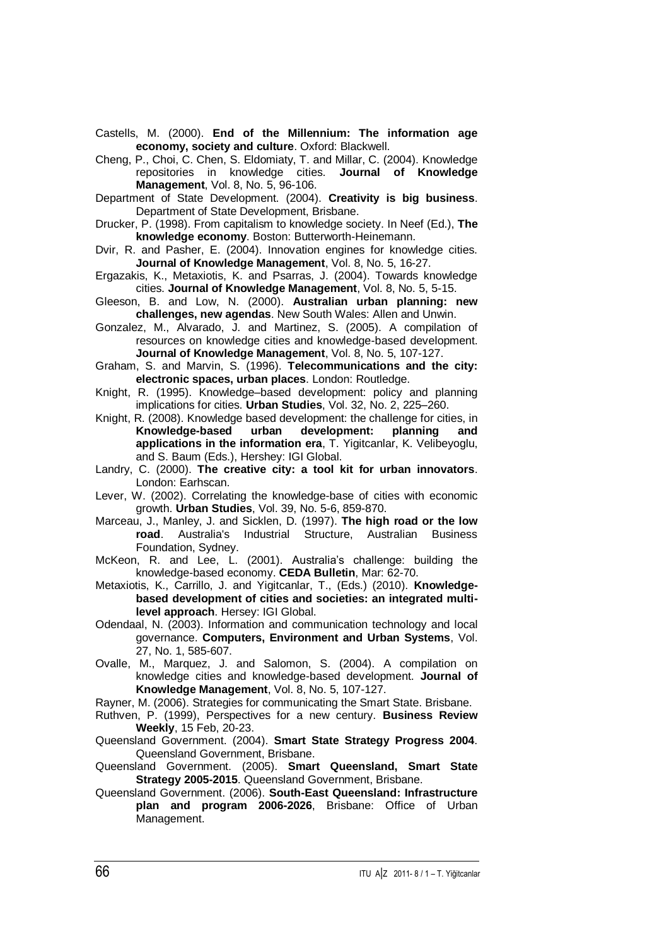Castells, M. (2000). **End of the Millennium: The information age economy, society and culture**. Oxford: Blackwell.

Cheng, P., Choi, C. Chen, S. Eldomiaty, T. and Millar, C. (2004). Knowledge repositories in knowledge cities. **Journal of Knowledge Management**, Vol. 8, No. 5, 96-106.

Department of State Development. (2004). **Creativity is big business**. Department of State Development, Brisbane.

Drucker, P. (1998). From capitalism to knowledge society. In Neef (Ed.), **The knowledge economy**. Boston: Butterworth-Heinemann.

Dvir, R. and Pasher, E. (2004). Innovation engines for knowledge cities. **Journal of Knowledge Management**, Vol. 8, No. 5, 16-27.

Ergazakis, K., Metaxiotis, K. and Psarras, J. (2004). Towards knowledge cities. **Journal of Knowledge Management**, Vol. 8, No. 5, 5-15.

Gleeson, B. and Low, N. (2000). **Australian urban planning: new challenges, new agendas**. New South Wales: Allen and Unwin.

Gonzalez, M., Alvarado, J. and Martinez, S. (2005). A compilation of resources on knowledge cities and knowledge-based development. **Journal of Knowledge Management**, Vol. 8, No. 5, 107-127.

Graham, S. and Marvin, S. (1996). **Telecommunications and the city: electronic spaces, urban places**. London: Routledge.

Knight, R. (1995). Knowledge–based development: policy and planning implications for cities. **Urban Studies**, Vol. 32, No. 2, 225–260.

Knight, R. (2008). Knowledge based development: the challenge for cities, in **Knowledge-based urban development: planning and applications in the information era**, T. Yigitcanlar, K. Velibeyoglu, and S. Baum (Eds.), Hershey: IGI Global.

Landry, C. (2000). **The creative city: a tool kit for urban innovators**. London: Earhscan.

Lever, W. (2002). Correlating the knowledge-base of cities with economic growth. **Urban Studies**, Vol. 39, No. 5-6, 859-870.

Marceau, J., Manley, J. and Sicklen, D. (1997). **The high road or the low road**. Australia's Industrial Structure, Australian Business Foundation, Sydney.

McKeon, R. and Lee, L. (2001). Australia's challenge: building the knowledge-based economy. **CEDA Bulletin**, Mar: 62-70.

Metaxiotis, K., Carrillo, J. and Yigitcanlar, T., (Eds.) (2010). **Knowledgebased development of cities and societies: an integrated multilevel approach**. Hersey: IGI Global.

Odendaal, N. (2003). Information and communication technology and local governance. **Computers, Environment and Urban Systems**, Vol. 27, No. 1, 585-607.

Ovalle, M., Marquez, J. and Salomon, S. (2004). A compilation on knowledge cities and knowledge-based development. **Journal of Knowledge Management**, Vol. 8, No. 5, 107-127.

Rayner, M. (2006). Strategies for communicating the Smart State. Brisbane.

Ruthven, P. (1999), Perspectives for a new century. **Business Review Weekly**, 15 Feb, 20-23.

Queensland Government. (2004). **Smart State Strategy Progress 2004**. Queensland Government, Brisbane.

Queensland Government. (2005). **Smart Queensland, Smart State Strategy 2005-2015**. Queensland Government, Brisbane.

Queensland Government. (2006). **South-East Queensland: Infrastructure plan and program 2006-2026**, Brisbane: Office of Urban Management.